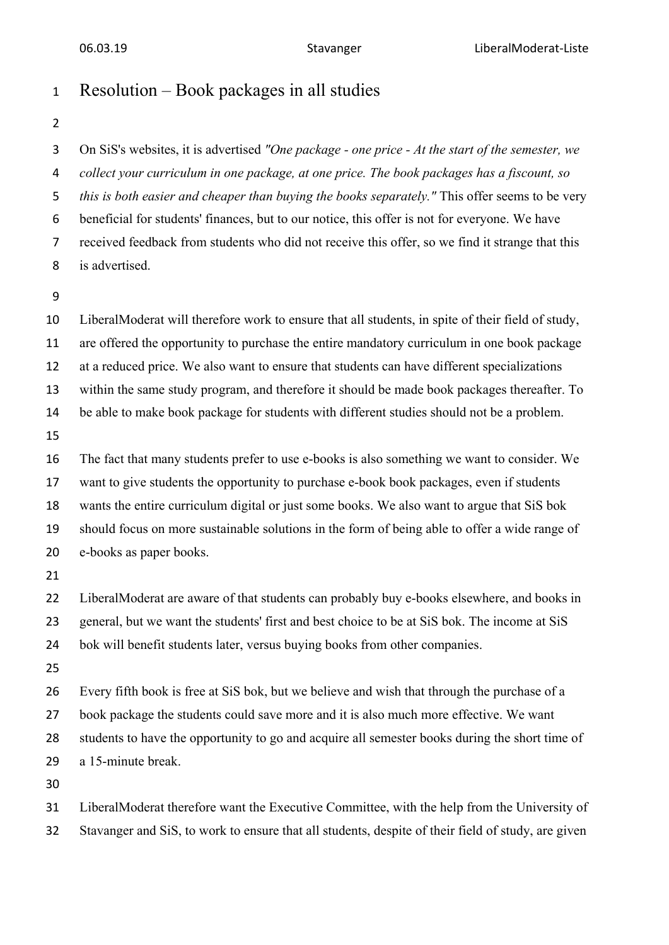## Resolution – Book packages in all studies

 On SiS's websites, it is advertised *"One package - one price - At the start of the semester, we collect your curriculum in one package, at one price. The book packages has a fiscount, so this is both easier and cheaper than buying the books separately."* This offer seems to be very beneficial for students' finances, but to our notice, this offer is not for everyone. We have received feedback from students who did not receive this offer, so we find it strange that this is advertised.

 LiberalModerat will therefore work to ensure that all students, in spite of their field of study, are offered the opportunity to purchase the entire mandatory curriculum in one book package at a reduced price. We also want to ensure that students can have different specializations within the same study program, and therefore it should be made book packages thereafter. To be able to make book package for students with different studies should not be a problem. The fact that many students prefer to use e-books is also something we want to consider. We want to give students the opportunity to purchase e-book book packages, even if students wants the entire curriculum digital or just some books. We also want to argue that SiS bok should focus on more sustainable solutions in the form of being able to offer a wide range of e-books as paper books. 22 LiberalModerat are aware of that students can probably buy e-books elsewhere, and books in

 general, but we want the students' first and best choice to be at SiS bok. The income at SiS bok will benefit students later, versus buying books from other companies.

 Every fifth book is free at SiS bok, but we believe and wish that through the purchase of a book package the students could save more and it is also much more effective. We want students to have the opportunity to go and acquire all semester books during the short time of a 15-minute break.

 LiberalModerat therefore want the Executive Committee, with the help from the University of Stavanger and SiS, to work to ensure that all students, despite of their field of study, are given